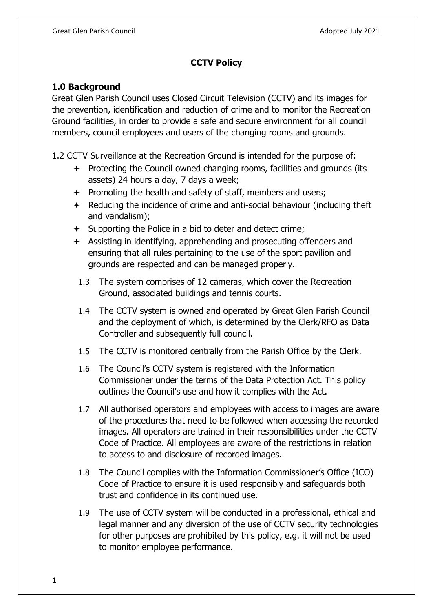# **CCTV Policy**

#### **1.0 Background**

Great Glen Parish Council uses Closed Circuit Television (CCTV) and its images for the prevention, identification and reduction of crime and to monitor the Recreation Ground facilities, in order to provide a safe and secure environment for all council members, council employees and users of the changing rooms and grounds.

1.2 CCTV Surveillance at the Recreation Ground is intended for the purpose of:

- $\div$  Protecting the Council owned changing rooms, facilities and grounds (its assets) 24 hours a day, 7 days a week;
- $\div$  Promoting the health and safety of staff, members and users;
- $\div$  Reducing the incidence of crime and anti-social behaviour (including theft and vandalism);
- Supporting the Police in a bid to deter and detect crime;
- Assisting in identifying, apprehending and prosecuting offenders and ensuring that all rules pertaining to the use of the sport pavilion and grounds are respected and can be managed properly.
	- 1.3 The system comprises of 12 cameras, which cover the Recreation Ground, associated buildings and tennis courts.
	- 1.4 The CCTV system is owned and operated by Great Glen Parish Council and the deployment of which, is determined by the Clerk/RFO as Data Controller and subsequently full council.
	- 1.5 The CCTV is monitored centrally from the Parish Office by the Clerk.
	- 1.6 The Council's CCTV system is registered with the Information Commissioner under the terms of the Data Protection Act. This policy outlines the Council's use and how it complies with the Act.
	- 1.7 All authorised operators and employees with access to images are aware of the procedures that need to be followed when accessing the recorded images. All operators are trained in their responsibilities under the CCTV Code of Practice. All employees are aware of the restrictions in relation to access to and disclosure of recorded images.
	- 1.8 The Council complies with the Information Commissioner's Office (ICO) Code of Practice to ensure it is used responsibly and safeguards both trust and confidence in its continued use.
	- 1.9 The use of CCTV system will be conducted in a professional, ethical and legal manner and any diversion of the use of CCTV security technologies for other purposes are prohibited by this policy, e.g. it will not be used to monitor employee performance.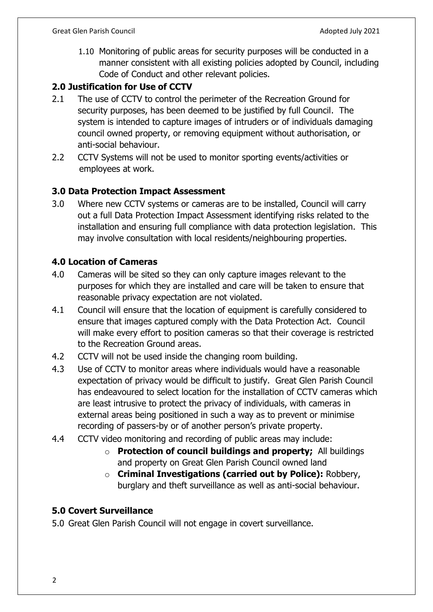1.10 Monitoring of public areas for security purposes will be conducted in a manner consistent with all existing policies adopted by Council, including Code of Conduct and other relevant policies.

### **2.0 Justification for Use of CCTV**

- 2.1 The use of CCTV to control the perimeter of the Recreation Ground for security purposes, has been deemed to be justified by full Council. The system is intended to capture images of intruders or of individuals damaging council owned property, or removing equipment without authorisation, or anti-social behaviour.
- 2.2 CCTV Systems will not be used to monitor sporting events/activities or employees at work.

## **3.0 Data Protection Impact Assessment**

3.0 Where new CCTV systems or cameras are to be installed, Council will carry out a full Data Protection Impact Assessment identifying risks related to the installation and ensuring full compliance with data protection legislation. This may involve consultation with local residents/neighbouring properties.

## **4.0 Location of Cameras**

- 4.0 Cameras will be sited so they can only capture images relevant to the purposes for which they are installed and care will be taken to ensure that reasonable privacy expectation are not violated.
- 4.1 Council will ensure that the location of equipment is carefully considered to ensure that images captured comply with the Data Protection Act. Council will make every effort to position cameras so that their coverage is restricted to the Recreation Ground areas.
- 4.2 CCTV will not be used inside the changing room building.
- 4.3 Use of CCTV to monitor areas where individuals would have a reasonable expectation of privacy would be difficult to justify. Great Glen Parish Council has endeavoured to select location for the installation of CCTV cameras which are least intrusive to protect the privacy of individuals, with cameras in external areas being positioned in such a way as to prevent or minimise recording of passers-by or of another person's private property.
- 4.4 CCTV video monitoring and recording of public areas may include:
	- o **Protection of council buildings and property;** All buildings and property on Great Glen Parish Council owned land
	- o **Criminal Investigations (carried out by Police):** Robbery, burglary and theft surveillance as well as anti-social behaviour.

## **5.0 Covert Surveillance**

5.0 Great Glen Parish Council will not engage in covert surveillance.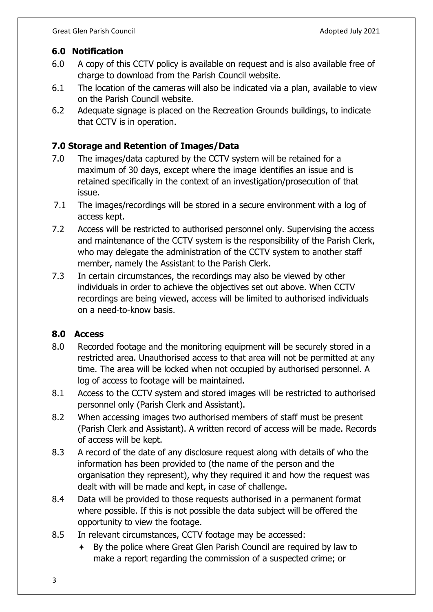#### **6.0 Notification**

- 6.0 A copy of this CCTV policy is available on request and is also available free of charge to download from the Parish Council website.
- 6.1 The location of the cameras will also be indicated via a plan, available to view on the Parish Council website.
- 6.2 Adequate signage is placed on the Recreation Grounds buildings, to indicate that CCTV is in operation.

#### **7.0 Storage and Retention of Images/Data**

- 7.0 The images/data captured by the CCTV system will be retained for a maximum of 30 days, except where the image identifies an issue and is retained specifically in the context of an investigation/prosecution of that issue.
- 7.1 The images/recordings will be stored in a secure environment with a log of access kept.
- 7.2 Access will be restricted to authorised personnel only. Supervising the access and maintenance of the CCTV system is the responsibility of the Parish Clerk, who may delegate the administration of the CCTV system to another staff member, namely the Assistant to the Parish Clerk.
- 7.3 In certain circumstances, the recordings may also be viewed by other individuals in order to achieve the objectives set out above. When CCTV recordings are being viewed, access will be limited to authorised individuals on a need-to-know basis.

#### **8.0 Access**

- 8.0 Recorded footage and the monitoring equipment will be securely stored in a restricted area. Unauthorised access to that area will not be permitted at any time. The area will be locked when not occupied by authorised personnel. A log of access to footage will be maintained.
- 8.1 Access to the CCTV system and stored images will be restricted to authorised personnel only (Parish Clerk and Assistant).
- 8.2 When accessing images two authorised members of staff must be present (Parish Clerk and Assistant). A written record of access will be made. Records of access will be kept.
- 8.3 A record of the date of any disclosure request along with details of who the information has been provided to (the name of the person and the organisation they represent), why they required it and how the request was dealt with will be made and kept, in case of challenge.
- 8.4 Data will be provided to those requests authorised in a permanent format where possible. If this is not possible the data subject will be offered the opportunity to view the footage.
- 8.5 In relevant circumstances, CCTV footage may be accessed:
	- By the police where Great Glen Parish Council are required by law to make a report regarding the commission of a suspected crime; or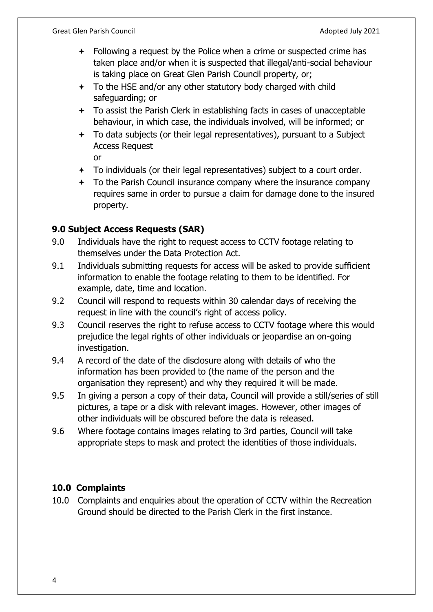- Following a request by the Police when a crime or suspected crime has taken place and/or when it is suspected that illegal/anti-social behaviour is taking place on Great Glen Parish Council property, or;
- To the HSE and/or any other statutory body charged with child safeguarding; or
- To assist the Parish Clerk in establishing facts in cases of unacceptable behaviour, in which case, the individuals involved, will be informed; or
- To data subjects (or their legal representatives), pursuant to a Subject Access Request

or

- To individuals (or their legal representatives) subject to a court order.
- $+$  To the Parish Council insurance company where the insurance company requires same in order to pursue a claim for damage done to the insured property.

#### **9.0 Subject Access Requests (SAR)**

- 9.0 Individuals have the right to request access to CCTV footage relating to themselves under the Data Protection Act.
- 9.1 Individuals submitting requests for access will be asked to provide sufficient information to enable the footage relating to them to be identified. For example, date, time and location.
- 9.2 Council will respond to requests within 30 calendar days of receiving the request in line with the council's right of access policy.
- 9.3 Council reserves the right to refuse access to CCTV footage where this would prejudice the legal rights of other individuals or jeopardise an on-going investigation.
- 9.4 A record of the date of the disclosure along with details of who the information has been provided to (the name of the person and the organisation they represent) and why they required it will be made.
- 9.5 In giving a person a copy of their data, Council will provide a still/series of still pictures, a tape or a disk with relevant images. However, other images of other individuals will be obscured before the data is released.
- 9.6 Where footage contains images relating to 3rd parties, Council will take appropriate steps to mask and protect the identities of those individuals.

## **10.0 Complaints**

10.0 Complaints and enquiries about the operation of CCTV within the Recreation Ground should be directed to the Parish Clerk in the first instance.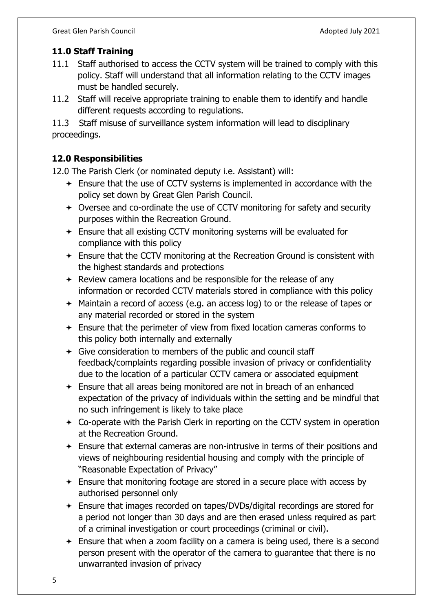## **11.0 Staff Training**

- 11.1 Staff authorised to access the CCTV system will be trained to comply with this policy. Staff will understand that all information relating to the CCTV images must be handled securely.
- 11.2 Staff will receive appropriate training to enable them to identify and handle different requests according to regulations.

11.3 Staff misuse of surveillance system information will lead to disciplinary proceedings.

## **12.0 Responsibilities**

12.0 The Parish Clerk (or nominated deputy i.e. Assistant) will:

- Ensure that the use of CCTV systems is implemented in accordance with the policy set down by Great Glen Parish Council.
- Oversee and co-ordinate the use of CCTV monitoring for safety and security purposes within the Recreation Ground.
- Ensure that all existing CCTV monitoring systems will be evaluated for compliance with this policy
- Ensure that the CCTV monitoring at the Recreation Ground is consistent with the highest standards and protections
- $\div$  Review camera locations and be responsible for the release of any information or recorded CCTV materials stored in compliance with this policy
- Maintain a record of access (e.g. an access log) to or the release of tapes or any material recorded or stored in the system
- Ensure that the perimeter of view from fixed location cameras conforms to this policy both internally and externally
- Give consideration to members of the public and council staff feedback/complaints regarding possible invasion of privacy or confidentiality due to the location of a particular CCTV camera or associated equipment
- Ensure that all areas being monitored are not in breach of an enhanced expectation of the privacy of individuals within the setting and be mindful that no such infringement is likely to take place
- Co-operate with the Parish Clerk in reporting on the CCTV system in operation at the Recreation Ground.
- Ensure that external cameras are non-intrusive in terms of their positions and views of neighbouring residential housing and comply with the principle of "Reasonable Expectation of Privacy"
- Ensure that monitoring footage are stored in a secure place with access by authorised personnel only
- Ensure that images recorded on tapes/DVDs/digital recordings are stored for a period not longer than 30 days and are then erased unless required as part of a criminal investigation or court proceedings (criminal or civil).
- $\div$  Ensure that when a zoom facility on a camera is being used, there is a second person present with the operator of the camera to guarantee that there is no unwarranted invasion of privacy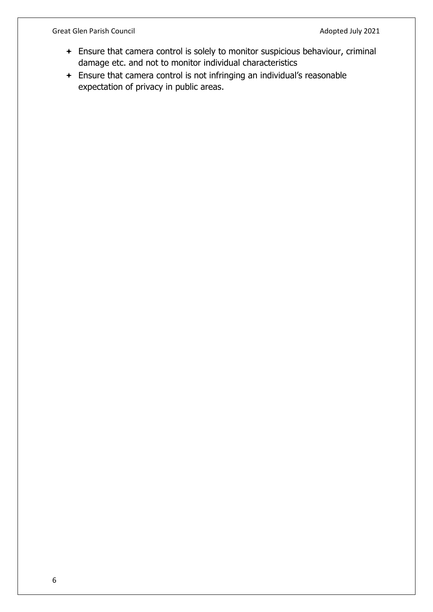Great Glen Parish Council and Council and Council Adopted July 2021

- Ensure that camera control is solely to monitor suspicious behaviour, criminal damage etc. and not to monitor individual characteristics
- Ensure that camera control is not infringing an individual's reasonable expectation of privacy in public areas.